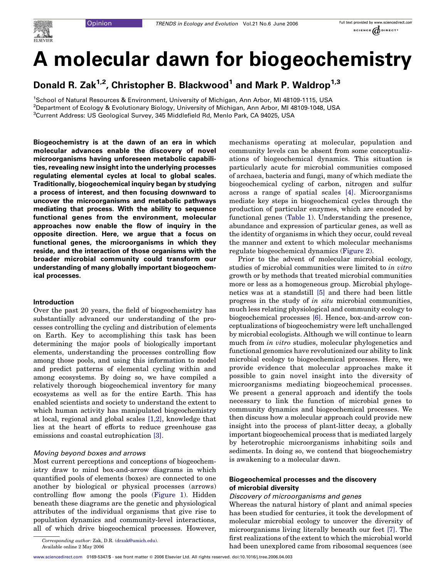# A molecular dawn for biogeochemistry

Donald R. Zak<sup>1,2</sup>, Christopher B. Blackwood<sup>1</sup> and Mark P. Waldrop<sup>1,3</sup>

1 School of Natural Resources & Environment, University of Michigan, Ann Arbor, MI 48109-1115, USA 2 Department of Ecology & Evolutionary Biology, University of Michigan, Ann Arbor, MI 48109-1048, USA <sup>3</sup>Current Address: US Geological Survey, 345 Middlefield Rd, Menlo Park, CA 94025, USA

Biogeochemistry is at the dawn of an era in which molecular advances enable the discovery of novel microorganisms having unforeseen metabolic capabilities, revealing new insight into the underlying processes regulating elemental cycles at local to global scales. Traditionally, biogeochemical inquiry began by studying a process of interest, and then focusing downward to uncover the microorganisms and metabolic pathways mediating that process. With the ability to sequence functional genes from the environment, molecular approaches now enable the flow of inquiry in the opposite direction. Here, we argue that a focus on functional genes, the microorganisms in which they reside, and the interaction of those organisms with the broader microbial community could transform our understanding of many globally important biogeochemical processes.

## Introduction

Over the past 20 years, the field of biogeochemistry has substantially advanced our understanding of the processes controlling the cycling and distribution of elements on Earth. Key to accomplishing this task has been determining the major pools of biologically important elements, understanding the processes controlling flow among those pools, and using this information to model and predict patterns of elemental cycling within and among ecosystems. By doing so, we have compiled a relatively thorough biogeochemical inventory for many ecosystems as well as for the entire Earth. This has enabled scientists and society to understand the extent to which human activity has manipulated biogeochemistry at local, regional and global scales [\[1,2\]](#page-6-0), knowledge that lies at the heart of efforts to reduce greenhouse gas emissions and coastal eutrophication [\[3\]](#page-6-0).

## Moving beyond boxes and arrows

Most current perceptions and conceptions of biogeochemistry draw to mind box-and-arrow diagrams in which quantified pools of elements (boxes) are connected to one another by biological or physical processes (arrows) controlling flow among the pools ([Figure 1](#page-1-0)). Hidden beneath these diagrams are the genetic and physiological attributes of the individual organisms that give rise to population dynamics and community-level interactions, all of which drive biogeochemical processes. However, mechanisms operating at molecular, population and community levels can be absent from some conceptualizations of biogeochemical dynamics. This situation is particularly acute for microbial communities composed of archaea, bacteria and fungi, many of which mediate the biogeochemical cycling of carbon, nitrogen and sulfur across a range of spatial scales [\[4\].](#page-6-0) Microorganisms mediate key steps in biogeochemical cycles through the production of particular enzymes, which are encoded by functional genes ([Table 1](#page-1-0)). Understanding the presence, abundance and expression of particular genes, as well as the identity of organisms in which they occur, could reveal the manner and extent to which molecular mechanisms regulate biogeochemical dynamics [\(Figure 2\)](#page-2-0).

Prior to the advent of molecular microbial ecology, studies of microbial communities were limited to in vitro growth or by methods that treated microbial communities more or less as a homogeneous group. Microbial phylogenetics was at a standstill [\[5\]](#page-6-0) and there had been little progress in the study of in situ microbial communities, much less relating physiological and community ecology to biogeochemical processes [\[6\].](#page-6-0) Hence, box-and-arrow conceptualizations of biogeochemistry were left unchallenged by microbial ecologists. Although we will continue to learn much from *in vitro* studies, molecular phylogenetics and functional genomics have revolutionized our ability to link microbial ecology to biogeochemical processes. Here, we provide evidence that molecular approaches make it possible to gain novel insight into the diversity of microorganisms mediating biogeochemical processes. We present a general approach and identify the tools necessary to link the function of microbial genes to community dynamics and biogeochemical processes. We then discuss how a molecular approach could provide new insight into the process of plant-litter decay, a globally important biogeochemical process that is mediated largely by heterotrophic microorganisms inhabiting soils and sediments. In doing so, we contend that biogeochemistry is awakening to a molecular dawn.

# Biogeochemical processes and the discovery of microbial diversity

## Discovery of microorganisms and genes

Whereas the natural history of plant and animal species has been studied for centuries, it took the development of molecular microbial ecology to uncover the diversity of microorganisms living literally beneath our feet [\[7\].](#page-6-0) The first realizations of the extent to which the microbial world had been unexplored came from ribosomal sequences (see

Corresponding author: Zak, D.R. [\(drzak@umich.edu](mailto:drzak@umich.edu)). Available online 2 May 2006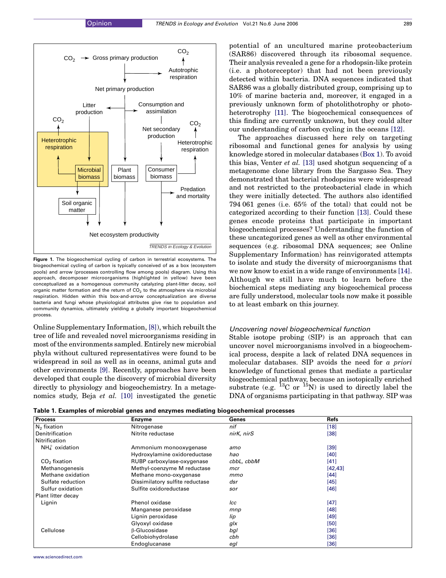<span id="page-1-0"></span>

Figure 1. The biogeochemical cycling of carbon in terrestrial ecosystems. The biogeochemical cycling of carbon is typically conceived of as a box (ecosystem pools) and arrow (processes controlling flow among pools) diagram. Using this approach, decomposer microorganisms (highlighted in yellow) have been conceptualized as a homogenous community catalyzing plant-litter decay, soil organic matter formation and the return of  $CO<sub>2</sub>$  to the atmosphere via microbial respiration. Hidden within this box-and-arrow conceptualization are diverse bacteria and fungi whose physiological attributes give rise to population and community dynamics, ultimately yielding a globally important biogeochemical process.

Online Supplementary Information, [\[8\]](#page-6-0)), which rebuilt the tree of life and revealed novel microorganisms residing in most of the environments sampled. Entirely new microbial phyla without cultured representatives were found to be widespread in soil as well as in oceans, animal guts and other environments [\[9\]](#page-6-0). Recently, approaches have been developed that couple the discovery of microbial diversity directly to physiology and biogeochemistry. In a metagenomics study, Beja et al. [\[10\]](#page-6-0) investigated the genetic potential of an uncultured marine proteobacterium (SAR86) discovered through its ribosomal sequence. Their analysis revealed a gene for a rhodopsin-like protein (i.e. a photoreceptor) that had not been previously detected within bacteria. DNA sequences indicated that SAR86 was a globally distributed group, comprising up to 10% of marine bacteria and, moreover, it engaged in a previously unknown form of photolithotrophy or photoheterotrophy [\[11\]](#page-6-0). The biogeochemical consequences of this finding are currently unknown, but they could alter our understanding of carbon cycling in the oceans [\[12\]](#page-6-0).

The approaches discussed here rely on targeting ribosomal and functional genes for analysis by using knowledge stored in molecular databases (Box 1). To avoid this bias, Venter et al. [\[13\]](#page-6-0) used shotgun sequencing of a metagenome clone library from the Sargasso Sea. They demonstrated that bacterial rhodopsins were widespread and not restricted to the proteobacterial clade in which they were initially detected. The authors also identified 794 061 genes (i.e. 65% of the total) that could not be categorized according to their function [\[13\]](#page-6-0). Could these genes encode proteins that participate in important biogeochemical processes? Understanding the function of these uncategorized genes as well as other environmental sequences (e.g. ribosomal DNA sequences; see Online Supplementary Information) has reinvigorated attempts to isolate and study the diversity of microorganisms that we now know to exist in a wide range of environments [\[14\]](#page-6-0). Although we still have much to learn before the biochemical steps mediating any biogeochemical process are fully understood, molecular tools now make it possible to at least embark on this journey.

#### Uncovering novel biogeochemical function

Stable isotope probing (SIP) is an approach that can uncover novel microorganisms involved in a biogeochemical process, despite a lack of related DNA sequences in molecular databases. SIP avoids the need for a priori knowledge of functional genes that mediate a particular biogeochemical pathway, because an isotopically enriched substrate (e.g.  $^{13}$ C or  $^{15}$ N) is used to directly label the DNA of organisms participating in that pathway. SIP was

Table 1. Examples of microbial genes and enzymes mediating biogeochemical processes

| <b>Process</b>         | <b>Enzyme</b>                   | Genes      | Refs     |  |
|------------------------|---------------------------------|------------|----------|--|
| $N2$ fixation          | Nitrogenase                     | nif        | $[18]$   |  |
| Denitrification        | Nitrite reductase               | nirK, nirS | $[38]$   |  |
| Nitrification          |                                 |            |          |  |
| $NH_{4}^{+}$ oxidation | Ammonium monooxygenase          | amo        | $[39]$   |  |
|                        | Hydroxylamine oxidoreductase    | hao        | [40]     |  |
| $CO2$ fixation         | RUBP carboxylase-oxygenase      | cbbL, cbbM | $[41]$   |  |
| Methanogenesis         | Methyl-coenzyme M reductase     | mcr        | [42, 43] |  |
| Methane oxidation      | Methane mono-oxygenase          | mmo        | $[44]$   |  |
| Sulfate reduction      | Dissimilatory sulfite reductase | dsr        | $[45]$   |  |
| Sulfur oxidation       | Sulfite oxidoreductase          | sor        | $[46]$   |  |
| Plant litter decay     |                                 |            |          |  |
| Lignin                 | Phenol oxidase                  | lcc        | $[47]$   |  |
|                        | Manganese peroxidase            | mnp        | $[48]$   |  |
|                        | Lignin peroxidase               | lip        | $[49]$   |  |
|                        | Glyoxyl oxidase                 | glx        | $[50]$   |  |
| Cellulose              | <b>B-Glucosidase</b>            | bgl        | $[36]$   |  |
|                        | Cellobiohydrolase               | cbh        | $[36]$   |  |
|                        | Endoglucanase                   | egl        | $[36]$   |  |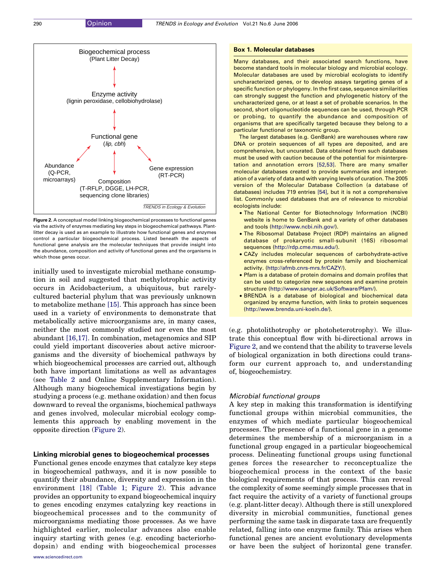<span id="page-2-0"></span>

Figure 2. A conceptual model linking biogeochemical processes to functional genes via the activity of enzymes mediating key steps in biogeochemical pathways. Plantlitter decay is used as an example to illustrate how functional genes and enzymes control a particular biogeochemical process. Listed beneath the aspects of functional gene analysis are the molecular techniques that provide insight into the abundance, composition and activity of functional genes and the organisms in which those genes occur.

initially used to investigate microbial methane consumption in soil and suggested that methylotrophic activity occurs in Acidobacterium, a ubiquitous, but rarelycultured bacterial phylum that was previously unknown to metabolize methane [\[15\].](#page-6-0) This approach has since been used in a variety of environments to demonstrate that metabolically active microorganisms are, in many cases, neither the most commonly studied nor even the most abundant [\[16,17\]](#page-6-0). In combination, metagenomics and SIP could yield important discoveries about active microorganisms and the diversity of biochemical pathways by which biogeochemical processes are carried out, although both have important limitations as well as advantages (see [Table 2](#page-3-0) and Online Supplementary Information). Although many biogeochemical investigations begin by studying a process (e.g. methane oxidation) and then focus downward to reveal the organisms, biochemical pathways and genes involved, molecular microbial ecology complements this approach by enabling movement in the opposite direction (Figure 2).

## Linking microbial genes to biogeochemical processes

Functional genes encode enzymes that catalyze key steps in biogeochemical pathways, and it is now possible to quantify their abundance, diversity and expression in the environment [\[18\]](#page-6-0) ([Table 1;](#page-1-0) Figure 2). This advance provides an opportunity to expand biogeochemical inquiry to genes encoding enzymes catalyzing key reactions in biogeochemical processes and to the community of microorganisms mediating those processes. As we have highlighted earlier, molecular advances also enable inquiry starting with genes (e.g. encoding bacteriorhodopsin) and ending with biogeochemical processes

#### Box 1. Molecular databases

Many databases, and their associated search functions, have become standard tools in molecular biology and microbial ecology. Molecular databases are used by microbial ecologists to identify uncharacterized genes, or to develop assays targeting genes of a specific function or phylogeny. In the first case, sequence similarities can strongly suggest the function and phylogenetic history of the uncharacterized gene, or at least a set of probable scenarios. In the second, short oligonucleotide sequences can be used, through PCR or probing, to quantify the abundance and composition of organisms that are specifically targeted because they belong to a particular functional or taxonomic group.

The largest databases (e.g. GenBank) are warehouses where raw DNA or protein sequences of all types are deposited, and are comprehensive, but uncurated. Data obtained from such databases must be used with caution because of the potential for misinterpretation and annotation errors [\[52,53\]](#page-7-0). There are many smaller molecular databases created to provide summaries and interpretation of a variety of data and with varying levels of curation. The 2005 version of the Molecular Database Collection (a database of databases) includes 719 entries [\[54\]](#page-7-0), but it is not a comprehensive list. Commonly used databases that are of relevance to microbial ecologists include:

- † The National Center for Biotechnology Information (NCBI) website is home to GenBank and a variety of other databases and tools (<http://www.ncbi.nih.gov/>).
- The Ribosomal Database Project (RDP) maintains an aligned database of prokaryotic small-subunit (16S) ribosomal sequences [\(http://rdp.cme.msu.edu/\)](http://rdp.cme.msu.edu/).
- † CAZy includes molecular sequences of carbohydrate-active enzymes cross-referenced by protein family and biochemical activity. [\(http://afmb.cnrs-mrs.fr/CAZY/\)](http://afmb.cnrs-mrs.fr/CAZY/).
- † Pfam is a database of protein domains and domain profiles that can be used to categorize new sequences and examine protein structure [\(http://www.sanger.ac.uk/Software/Pfam/\)](http://www.sanger.ac.uk/Software/Pfam/).
- **BRENDA** is a database of biological and biochemical data organized by enzyme function, with links to protein sequences [\(http://www.brenda.uni-koeln.de/\)](http://www.brenda.uni-koeln.de/).

(e.g. photolithotrophy or photoheterotrophy). We illustrate this conceptual flow with bi-directional arrows in Figure 2, and we contend that the ability to traverse levels of biological organization in both directions could transform our current approach to, and understanding of, biogeochemistry.

#### Microbial functional groups

A key step in making this transformation is identifying functional groups within microbial communities, the enzymes of which mediate particular biogeochemical processes. The presence of a functional gene in a genome determines the membership of a microorganism in a functional group engaged in a particular biogeochemical process. Delineating functional groups using functional genes forces the researcher to reconceptualize the biogeochemical process in the context of the basic biological requirements of that process. This can reveal the complexity of some seemingly simple processes that in fact require the activity of a variety of functional groups (e.g. plant-litter decay). Although there is still unexplored diversity in microbial communities, functional genes performing the same task in disparate taxa are frequently related, falling into one enzyme family. This arises when functional genes are ancient evolutionary developments or have been the subject of horizontal gene transfer.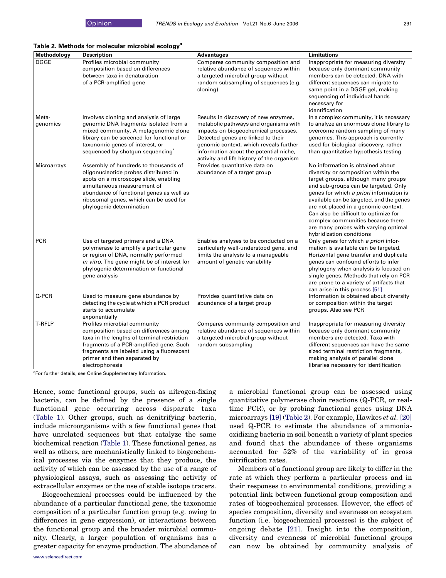#### <span id="page-3-0"></span>Table 2. Methods for molecular microbial ecology<sup>a</sup>

| Methodology       | <b>Description</b>                                                                                                                                                                                                                                                      | <b>Advantages</b>                                                                                                                                                                                                                                                                            | <b>Limitations</b>                                                                                                                                                                                                                                                                                                                                                                                                                      |
|-------------------|-------------------------------------------------------------------------------------------------------------------------------------------------------------------------------------------------------------------------------------------------------------------------|----------------------------------------------------------------------------------------------------------------------------------------------------------------------------------------------------------------------------------------------------------------------------------------------|-----------------------------------------------------------------------------------------------------------------------------------------------------------------------------------------------------------------------------------------------------------------------------------------------------------------------------------------------------------------------------------------------------------------------------------------|
| <b>DGGE</b>       | Profiles microbial community<br>composition based on differences<br>between taxa in denaturation<br>of a PCR-amplified gene                                                                                                                                             | Compares community composition and<br>relative abundance of sequences within<br>a targeted microbial group without<br>random subsampling of sequences (e.g.<br>cloning)                                                                                                                      | Inappropriate for measuring diversity<br>because only dominant community<br>members can be detected. DNA with<br>different sequences can migrate to<br>same point in a DGGE gel, making<br>sequencing of individual bands<br>necessary for<br>identification                                                                                                                                                                            |
| Meta-<br>genomics | Involves cloning and analysis of large<br>genomic DNA fragments isolated from a<br>mixed community. A metagenomic clone<br>library can be screened for functional or<br>taxonomic genes of interest, or<br>sequenced by shotgun sequencing                              | Results in discovery of new enzymes,<br>metabolic pathways and organisms with<br>impacts on biogeochemical processes.<br>Detected genes are linked to their<br>genomic context, which reveals further<br>information about the potential niche,<br>activity and life history of the organism | In a complex community, it is necessary<br>to analyze an enormous clone library to<br>overcome random sampling of many<br>genomes. This approach is currently<br>used for biological discovery, rather<br>than quantitative hypothesis testing                                                                                                                                                                                          |
| Microarrays       | Assembly of hundreds to thousands of<br>oligonucleotide probes distributed in<br>spots on a microscope slide, enabling<br>simultaneous measurement of<br>abundance of functional genes as well as<br>ribosomal genes, which can be used for<br>phylogenic determination | Provides quantitative data on<br>abundance of a target group                                                                                                                                                                                                                                 | No information is obtained about<br>diversity or composition within the<br>target groups, although many groups<br>and sub-groups can be targeted. Only<br>genes for which a priori information is<br>available can be targeted, and the genes<br>are not placed in a genomic context.<br>Can also be difficult to optimize for<br>complex communities because there<br>are many probes with varying optimal<br>hybridization conditions |
| <b>PCR</b>        | Use of targeted primers and a DNA<br>polymerase to amplify a particular gene<br>or region of DNA, normally performed<br>in vitro. The gene might be of interest for<br>phylogenic determination or functional<br>gene analysis                                          | Enables analyses to be conducted on a<br>particularly well-understood gene, and<br>limits the analysis to a manageable<br>amount of genetic variability                                                                                                                                      | Only genes for which a priori infor-<br>mation is available can be targeted.<br>Horizontal gene transfer and duplicate<br>genes can confound efforts to infer<br>phylogeny when analysis is focused on<br>single genes. Methods that rely on PCR<br>are prone to a variety of artifacts that<br>can arise in this process [51]                                                                                                          |
| Q-PCR             | Used to measure gene abundance by<br>detecting the cycle at which a PCR product<br>starts to accumulate<br>exponentially                                                                                                                                                | Provides quantitative data on<br>abundance of a target group                                                                                                                                                                                                                                 | Information is obtained about diversity<br>or composition within the target<br>groups. Also see PCR                                                                                                                                                                                                                                                                                                                                     |
| <b>T-RFLP</b>     | Profiles microbial community<br>composition based on differences among<br>taxa in the lengths of terminal restriction<br>fragments of a PCR-amplified gene. Such<br>fragments are labeled using a fluorescent<br>primer and then separated by<br>electrophoresis        | Compares community composition and<br>relative abundance of sequences within<br>a targeted microbial group without<br>random subsampling                                                                                                                                                     | Inappropriate for measuring diversity<br>because only dominant community<br>members are detected. Taxa with<br>different sequences can have the same<br>sized terminal restriction fragments,<br>making analysis of parallel clone<br>libraries necessary for identification                                                                                                                                                            |

<sup>a</sup>For further details, see Online Supplementary Information.

Hence, some functional groups, such as nitrogen-fixing bacteria, can be defined by the presence of a single functional gene occurring across disparate taxa ([Table 1](#page-1-0)). Other groups, such as denitrifying bacteria, include microorganisms with a few functional genes that have unrelated sequences but that catalyze the same biochemical reaction [\(Table 1](#page-1-0)). These functional genes, as well as others, are mechanistically linked to biogeochemical processes via the enzymes that they produce, the activity of which can be assessed by the use of a range of physiological assays, such as assessing the activity of extracellular enzymes or the use of stable isotope tracers.

Biogeochemical processes could be influenced by the abundance of a particular functional gene, the taxonomic composition of a particular function group (e.g. owing to differences in gene expression), or interactions between the functional group and the broader microbial community. Clearly, a larger population of organisms has a greater capacity for enzyme production. The abundance of a microbial functional group can be assessed using quantitative polymerase chain reactions (Q-PCR, or realtime PCR), or by probing functional genes using DNA microarrays [\[19\]](#page-6-0) (Table 2). For example, Hawkes et al. [\[20\]](#page-6-0) used Q-PCR to estimate the abundance of ammoniaoxidizing bacteria in soil beneath a variety of plant species and found that the abundance of these organisms accounted for 52% of the variability of in gross nitrification rates.

Members of a functional group are likely to differ in the rate at which they perform a particular process and in their responses to environmental conditions, providing a potential link between functional group composition and rates of biogeochemical processes. However, the effect of species composition, diversity and evenness on ecosystem function (i.e. biogeochemical processes) is the subject of ongoing debate [\[21\].](#page-6-0) Insight into the composition, diversity and evenness of microbial functional groups can now be obtained by community analysis of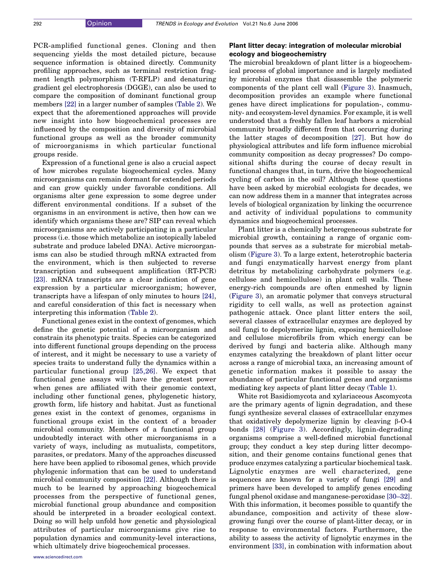PCR-amplified functional genes. Cloning and then sequencing yields the most detailed picture, because sequence information is obtained directly. Community profiling approaches, such as terminal restriction fragment length polymorphism (T-RFLP) and denaturing gradient gel electrophoresis (DGGE), can also be used to compare the composition of dominant functional group members [\[22\]](#page-6-0) in a larger number of samples [\(Table 2](#page-3-0)). We expect that the aforementioned approaches will provide new insight into how biogeochemical processes are influenced by the composition and diversity of microbial functional groups as well as the broader community of microorganisms in which particular functional groups reside.

Expression of a functional gene is also a crucial aspect of how microbes regulate biogeochemical cycles. Many microorganisms can remain dormant for extended periods and can grow quickly under favorable conditions. All organisms alter gene expression to some degree under different environmental conditions. If a subset of the organisms in an environment is active, then how can we identify which organisms these are? SIP can reveal which microorganisms are actively participating in a particular process (i.e. those which metabolize an isotopically labeled substrate and produce labeled DNA). Active microorganisms can also be studied through mRNA extracted from the environment, which is then subjected to reverse transcription and subsequent amplification (RT-PCR) [\[23\].](#page-6-0) mRNA transcripts are a clear indication of gene expression by a particular microorganism; however, transcripts have a lifespan of only minutes to hours [\[24\]](#page-6-0), and careful consideration of this fact is necessary when interpreting this information [\(Table 2](#page-3-0)).

Functional genes exist in the context of genomes, which define the genetic potential of a microorganism and constrain its phenotypic traits. Species can be categorized into different functional groups depending on the process of interest, and it might be necessary to use a variety of species traits to understand fully the dynamics within a particular functional group [\[25,26\].](#page-6-0) We expect that functional gene assays will have the greatest power when genes are affiliated with their genomic context, including other functional genes, phylogenetic history, growth form, life history and habitat. Just as functional genes exist in the context of genomes, organisms in functional groups exist in the context of a broader microbial community. Members of a functional group undoubtedly interact with other microorganisms in a variety of ways, including as mutualists, competitors, parasites, or predators. Many of the approaches discussed here have been applied to ribosomal genes, which provide phylogenic information that can be used to understand microbial community composition [\[22\].](#page-6-0) Although there is much to be learned by approaching biogeochemical processes from the perspective of functional genes, microbial functional group abundance and composition should be interpreted in a broader ecological context. Doing so will help unfold how genetic and physiological attributes of particular microorganisms give rise to population dynamics and community-level interactions, which ultimately drive biogeochemical processes.

# Plant litter decay: integration of molecular microbial ecology and biogeochemistry

The microbial breakdown of plant litter is a biogeochemical process of global importance and is largely mediated by microbial enzymes that disassemble the polymeric components of the plant cell wall ([Figure 3](#page-5-0)). Inasmuch, decomposition provides an example where functional genes have direct implications for population-, community- and ecosystem-level dynamics. For example, it is well understood that a freshly fallen leaf harbors a microbial community broadly different from that occurring during the latter stages of decomposition [\[27\]](#page-6-0). But how do physiological attributes and life form influence microbial community composition as decay progresses? Do compositional shifts during the course of decay result in functional changes that, in turn, drive the biogeochemical cycling of carbon in the soil? Although these questions have been asked by microbial ecologists for decades, we can now address them in a manner that integrates across levels of biological organization by linking the occurrence and activity of individual populations to community dynamics and biogeochemical processes.

Plant litter is a chemically heterogeneous substrate for microbial growth, containing a range of organic compounds that serves as a substrate for microbial metabolism [\(Figure 3](#page-5-0)). To a large extent, heterotrophic bacteria and fungi enzymatically harvest energy from plant detritus by metabolizing carbohydrate polymers (e.g. cellulose and hemicellulose) in plant cell walls. These energy-rich compounds are often enmeshed by lignin ([Figure 3](#page-5-0)), an aromatic polymer that conveys structural rigidity to cell walls, as well as protection against pathogenic attack. Once plant litter enters the soil, several classes of extracellular enzymes are deployed by soil fungi to depolymerize lignin, exposing hemicellulose and cellulose microfibrils from which energy can be derived by fungi and bacteria alike. Although many enzymes catalyzing the breakdown of plant litter occur across a range of microbial taxa, an increasing amount of genetic information makes it possible to assay the abundance of particular functional genes and organisms mediating key aspects of plant litter decay [\(Table 1](#page-1-0)).

White rot Basidiomycota and xylariaceous Ascomycota are the primary agents of lignin degradation, and these fungi synthesize several classes of extracellular enzymes that oxidatively depolymerize lignin by cleaving  $\beta$ -O-4 bonds [\[28\]](#page-6-0) [\(Figure 3](#page-5-0)). Accordingly, lignin-degrading organisms comprise a well-defined microbial functional group; they conduct a key step during litter decomposition, and their genome contains functional genes that produce enzymes catalyzing a particular biochemical task. Lignolytic enzymes are well characterized, gene sequences are known for a variety of fungi [\[29\]](#page-6-0) and primers have been developed to amplify genes encoding fungal phenol oxidase and manganese-peroxidase [\[30–32\]](#page-6-0). With this information, it becomes possible to quantify the abundance, composition and activity of these slowgrowing fungi over the course of plant-litter decay, or in response to environmental factors. Furthermore, the ability to assess the activity of lignolytic enzymes in the environment [\[33\]](#page-6-0), in combination with information about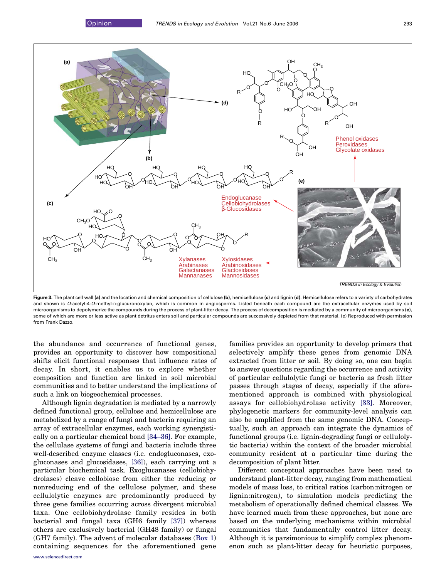<span id="page-5-0"></span>

Figure 3. The plant cell wall (a) and the location and chemical composition of cellulose (b), hemicellulose (c) and lignin (d). Hemicellulose refers to a variety of carbohydrates and shown is O-acetyl-4-O-methyl-D-glucuronoxylan, which is common in angiosperms. Listed beneath each compound are the extracellular enzymes used by soil microorganisms to depolymerize the compounds during the process of plant-litter decay. The process of decomposition is mediated by a community of microorganisms (e), some of which are more or less active as plant detritus enters soil and particular compounds are successively depleted from that material. (e) Reproduced with permission from Frank Dazzo.

the abundance and occurrence of functional genes, provides an opportunity to discover how compositional shifts elicit functional responses that influence rates of decay. In short, it enables us to explore whether composition and function are linked in soil microbial communities and to better understand the implications of such a link on biogeochemical processes.

Although lignin degradation is mediated by a narrowly defined functional group, cellulose and hemicellulose are metabolized by a range of fungi and bacteria requiring an array of extracellular enzymes, each working synergistically on a particular chemical bond [\[34–36\]](#page-6-0). For example, the cellulase systems of fungi and bacteria include three well-described enzyme classes (i.e. endogluconases, exogluconases and glucosidases, [\[36\]\)](#page-7-0), each carrying out a particular biochemical task. Exoglucanases (cellobiohydrolases) cleave cellobiose from either the reducing or nonreducing end of the cellulose polymer, and these cellulolytic enzymes are predominantly produced by three gene families occurring across divergent microbial taxa. One cellobiohydrolase family resides in both bacterial and fungal taxa (GH6 family [\[37\]](#page-7-0)) whereas others are exclusively bacterial (GH48 family) or fungal (GH7 family). The advent of molecular databases (Box 1) containing sequences for the aforementioned gene families provides an opportunity to develop primers that selectively amplify these genes from genomic DNA extracted from litter or soil. By doing so, one can begin to answer questions regarding the occurrence and activity of particular cellulolytic fungi or bacteria as fresh litter passes through stages of decay, especially if the aforementioned approach is combined with physiological assays for cellobiohydrolase activity [\[33\].](#page-6-0) Moreover, phylogenetic markers for community-level analysis can also be amplified from the same genomic DNA. Conceptually, such an approach can integrate the dynamics of functional groups (i.e. lignin-degrading fungi or cellulolytic bacteria) within the context of the broader microbial community resident at a particular time during the decomposition of plant litter.

Different conceptual approaches have been used to understand plant-litter decay, ranging from mathematical models of mass loss, to critical ratios (carbon:nitrogen or lignin:nitrogen), to simulation models predicting the metabolism of operationally defined chemical classes. We have learned much from these approaches, but none are based on the underlying mechanisms within microbial communities that fundamentally control litter decay. Although it is parsimonious to simplify complex phenomenon such as plant-litter decay for heuristic purposes,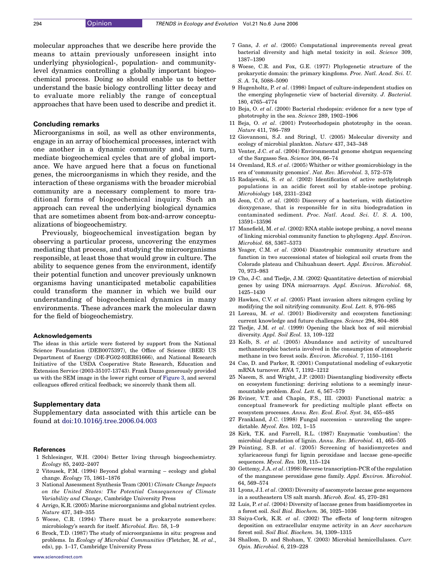<span id="page-6-0"></span>molecular approaches that we describe here provide the means to attain previously unforeseen insight into underlying physiological-, population- and communitylevel dynamics controlling a globally important biogeochemical process. Doing so should enable us to better understand the basic biology controlling litter decay and to evaluate more reliably the range of conceptual approaches that have been used to describe and predict it.

#### Concluding remarks

Microorganisms in soil, as well as other environments, engage in an array of biochemical processes, interact with one another in a dynamic community and, in turn, mediate biogeochemical cycles that are of global importance. We have argued here that a focus on functional genes, the microorganisms in which they reside, and the interaction of these organisms with the broader microbial community are a necessary complement to more traditional forms of biogeochemical inquiry. Such an approach can reveal the underlying biological dynamics that are sometimes absent from box-and-arrow conceptualizations of biogeochemistry.

Previously, biogeochemical investigation began by observing a particular process, uncovering the enzymes mediating that process, and studying the microorganisms responsible, at least those that would grow in culture. The ability to sequence genes from the environment, identify their potential function and uncover previously unknown organisms having unanticipated metabolic capabilities could transform the manner in which we build our understanding of biogeochemical dynamics in many environments. These advances mark the molecular dawn for the field of biogeochemistry.

#### Acknowledgements

The ideas in this article were fostered by support from the National Science Foundation (DEB0075397), the Office of Science (BER) US Department of Energy (DE-FG02-93ER61666), and National Research Initiative of the USDA Cooperative State Research, Education and Extension Service (2003-35107-13743). Frank Dazzo generously provided us with the SEM image in the lower right corner of [Figure 3,](#page-5-0) and several colleagues offered critical feedback; we sincerely thank them all.

#### Supplementary data

Supplementary data associated with this article can be found at [doi:10.1016/j.tree.2006.04.003](http://dx.doi.org/doi:10.1016/j.tree.2006.04.003)

#### References

- 1 Schlesinger, W.H. (2004) Better living through biogeochemistry. Ecology 85, 2402–2407
- 2 Vitousek, P.M. (1994) Beyond global warming ecology and global change. Ecology 75, 1861–1876
- 3 National Assessment Synthesis Team (2001) Climate Change Impacts on the United States: The Potential Consequences of Climate Variability and Change, Cambridge University Press
- 4 Arrigo, K.R. (2005) Marine microorganisms and global nutrient cycles. Nature 437, 349–355
- 5 Woese, C.R. (1994) There must be a prokaryote somewhere: microbiology's search for itself. Microbiol. Rev. 58, 1–9
- 6 Brock, T.D. (1987) The study of microorganisms in situ: progress and problems. In Ecology of Microbial Communities (Fletcher, M. et al., eds), pp. 1–17, Cambridge University Press
- 7 Gans, J. et al. (2005) Computational improvements reveal great bacterial diversity and high metal toxicity in soil. Science 309, 1387–1390
- 8 Woese, C.R. and Fox, G.E. (1977) Phylogenetic structure of the prokaryotic domain: the primary kingdoms. Proc. Natl. Acad. Sci. U. S. A. 74, 5088–5090
- 9 Hugenholtz, P. et al. (1998) Impact of culture-independent studies on the emerging phylogenetic view of bacterial diversity. J. Bacteriol. 180, 4765–4774
- 10 Beja, O. et al. (2000) Bacterial rhodopsin: evidence for a new type of phototrophy in the sea. Science 289, 1902–1906
- 11 Beja, O. et al. (2001) Proteorhodopsin phototrophy in the ocean. Nature 411, 786–789
- 12 Giovannoni, S.J. and Stringl, U. (2005) Molecular diversity and ecology of microbial plankton. Nature 437, 343–348
- 13 Venter, J.C. et al. (2004) Environmental genome shotgun sequencing of the Sargasso Sea. Science 304, 66–74
- 14 Oremland, R.S. et al. (2005) Whither or wither geomicrobiology in the era of 'community genomics'. Nat. Rev. Microbiol. 3, 572–578
- 15 Radajewski, S. et al. (2002) Identification of active methylotroph populations in an acidic forest soil by stable-isotope probing. Microbiology 148, 2331–2342
- 16 Jeon, C.O. et al. (2003) Discovery of a bacterium, with distinctive dioxygenase, that is responsible for in situ biodegradation in contaminated sediment. Proc. Natl. Acad. Sci. U. S. A. 100, 13591–13596
- 17 Manefield, M. et al. (2002) RNA stable isotope probing, a novel means of linking microbial community function to phylogeny. Appl. Environ. Microbiol. 68, 5367–5373
- 18 Yeager, C.M. et al. (2004) Diazotrophic community structure and function in two successional states of biological soil crusts from the Colorado plateau and Chihuahuan desert. Appl. Environ. Microbiol. 70, 973–983
- 19 Cho, J-C. and Tiedje, J.M. (2002) Quantitative detection of microbial genes by using DNA microarrays. Appl. Environ. Microbiol. 68, 1425–1430
- 20 Hawkes, C.V. et al. (2005) Plant invasion alters nitrogen cycling by modifying the soil nitrifying community. Ecol. Lett. 8, 976–985
- 21 Loreau, M. et al. (2001) Biodiversity and ecosystem functioning: current knowledge and future challenges. Science 294, 804–808
- 22 Tiedje, J.M. et al.  $(1999)$  Opening the black box of soil microbial diversity. Appl. Soil Ecol. 13, 109–122
- 23 Kolb, S. et al. (2005) Abundance and activity of uncultured methanotrophic bacteria involved in the consumption of atmospheric methane in two forest soils. Environ. Microbiol. 7, 1150–1161
- 24 Cao, D. and Parker, R. (2001) Computational modeling of eukaryotic mRNA turnover. RNA 7, 1192–1212
- 25 Naeem, S. and Wright, J.P. (2003) Disentangling biodiversity effects on ecosystem functioning: deriving solutions to a seemingly insurmountable problem. Ecol. Lett. 6, 567–579
- 26 Eviner, V.T. and Chapin, F.S., III. (2003) Functional matrix: a conceptual framework for predicting multiple plant effects on ecosystem processes. Annu. Rev. Ecol. Evol. Syst. 34, 455–485
- 27 Frankland, J.C. (1998) Fungal succession unraveling the unpredictable. Mycol. Res. 102, 1–15
- 28 Kirk, T.K. and Farrell, R.L. (1987) Enzymatic 'combustion': the microbial degradation of lignin. Annu. Rev. Microbiol. 41, 465–505
- 29 Pointing, S.B. et al. (2005) Screening of basidiomycetes and xylaricaceous fungi for lignin peroxidase and laccase gene-specific sequences. Mycol. Res. 109, 115–124
- 30 Gettemy, J.A. et al. (1998) Reverse transcription-PCR of the regulation of the manganese peroxidase gene family. Appl. Environ. Microbiol. 64, 569–574
- 31 Lyons, J.I. et al. (2003) Diversity of ascomycete laccase gene sequences in a southeastern US salt marsh. Microb. Ecol. 45, 270–281
- 32 Luis, P. et al. (2004) Diversity of laccase genes from basidiomycetes in a forest soil. Soil Biol. Biochem. 36, 1025–1036
- 33 Saiya-Cork, K.R. et al. (2002) The effects of long-term nitrogen deposition on extracellular enzyme activity in an Acer saccharum forest soil. Soil Biol. Biochem. 34, 1309–1315
- 34 Shallom, D. and Shoham, Y. (2003) Microbial hemicellulases. Curr. Opin. Microbiol. 6, 219–228